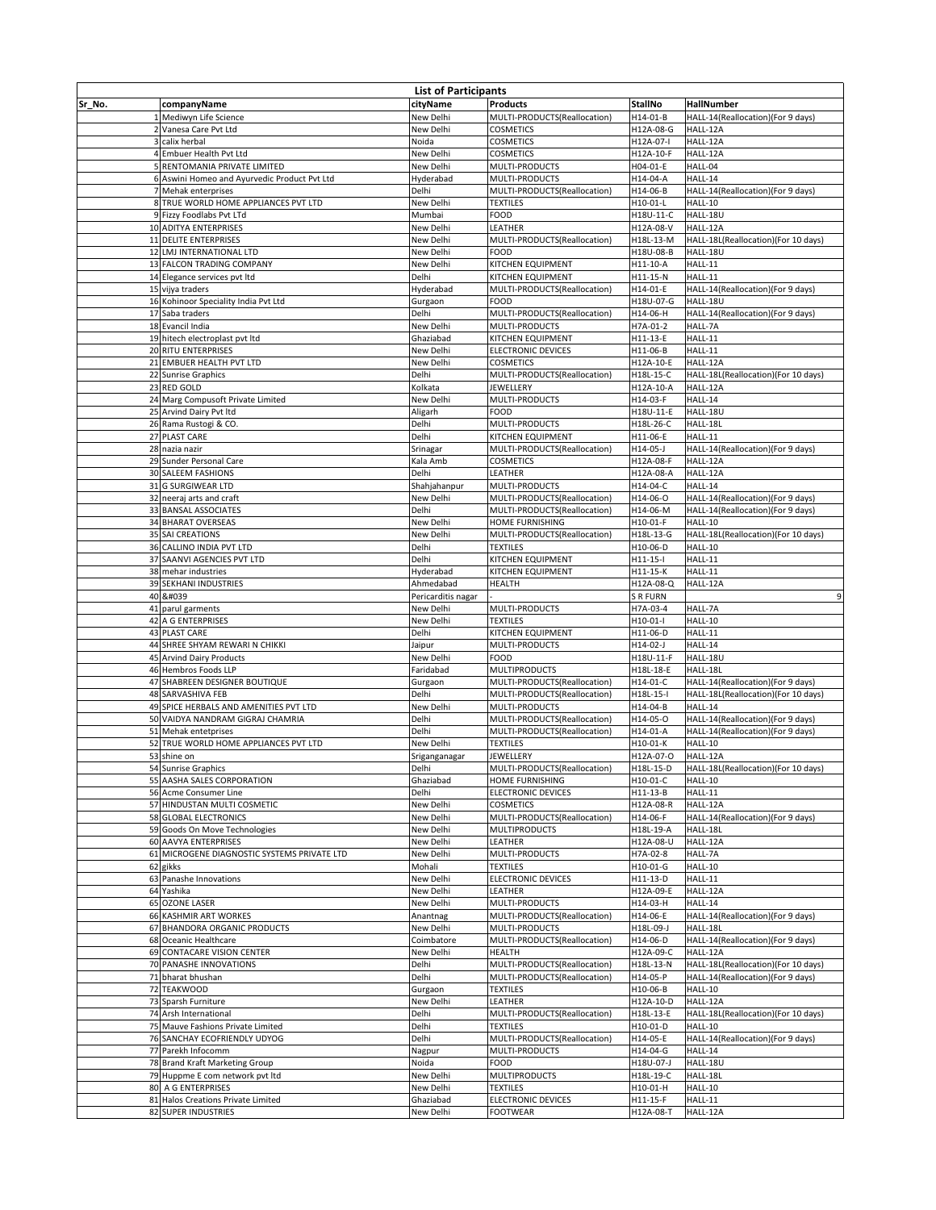| <b>List of Participants</b> |                                                           |                           |                                                   |                        |                                                       |
|-----------------------------|-----------------------------------------------------------|---------------------------|---------------------------------------------------|------------------------|-------------------------------------------------------|
| Sr No.                      | companyName                                               | cityName                  | <b>Products</b>                                   | <b>StallNo</b>         | <b>HallNumber</b>                                     |
|                             | Mediwyn Life Science                                      | New Delhi                 | MULTI-PRODUCTS(Reallocation)                      | H14-01-B               | HALL-14(Reallocation)(For 9 days)                     |
|                             | 2 Vanesa Care Pvt Ltd                                     | New Delhi                 | <b>COSMETICS</b>                                  | H12A-08-G              | HALL-12A                                              |
|                             | calix herbal                                              | Noida                     | <b>COSMETICS</b>                                  | H12A-07-I              | HALL-12A                                              |
|                             | Embuer Health Pvt Ltd                                     | New Delhi                 | <b>COSMETICS</b>                                  | H12A-10-F              | HALL-12A                                              |
|                             | RENTOMANIA PRIVATE LIMITED                                | New Delhi                 | MULTI-PRODUCTS                                    | H04-01-E               | HALL-04                                               |
|                             | 6 Aswini Homeo and Ayurvedic Product Pvt Ltd              | Hyderabad                 | MULTI-PRODUCTS                                    | H14-04-A               | HALL-14                                               |
|                             | Mehak enterprises<br>8 TRUE WORLD HOME APPLIANCES PVT LTD | Delhi<br>New Delhi        | MULTI-PRODUCTS(Reallocation)<br><b>TEXTILES</b>   | H14-06-B<br>H10-01-L   | HALL-14(Reallocation)(For 9 days)<br>HALL-10          |
|                             | 9 Fizzy Foodlabs Pvt LTd                                  | Mumbai                    | <b>FOOD</b>                                       | H18U-11-C              | HALL-18U                                              |
|                             | 10 ADITYA ENTERPRISES                                     | New Delhi                 | <b>LEATHER</b>                                    | H12A-08-V              | HALL-12A                                              |
|                             | 11 DELITE ENTERPRISES                                     | New Delhi                 | MULTI-PRODUCTS(Reallocation)                      | H18L-13-M              | HALL-18L(Reallocation)(For 10 days)                   |
|                             | 12 LMJ INTERNATIONAL LTD                                  | New Delhi                 | <b>FOOD</b>                                       | H18U-08-B              | HALL-18U                                              |
|                             | 13 FALCON TRADING COMPANY                                 | New Delhi                 | KITCHEN EQUIPMENT                                 | $H11-10-A$             | <b>HALL-11</b>                                        |
|                             | 14 Elegance services pvt ltd                              | Delhi                     | <b>KITCHEN EQUIPMENT</b>                          | H11-15-N               | <b>HALL-11</b>                                        |
|                             | 15 vijya traders                                          | Hyderabad                 | MULTI-PRODUCTS(Reallocation)                      | H14-01-E               | HALL-14(Reallocation)(For 9 days)                     |
|                             | 16 Kohinoor Speciality India Pvt Ltd                      | Gurgaon                   | <b>FOOD</b>                                       | H18U-07-G              | HALL-18U                                              |
|                             | 17 Saba traders                                           | Delhi                     | MULTI-PRODUCTS(Reallocation)                      | H14-06-H               | HALL-14(Reallocation)(For 9 days)                     |
|                             | 18 Evancil India<br>19 hitech electroplast pvt ltd        | New Delhi<br>Ghaziabad    | <b>MULTI-PRODUCTS</b><br><b>KITCHEN EQUIPMENT</b> | H7A-01-2<br>H11-13-E   | HALL-7A<br><b>HALL-11</b>                             |
|                             | 20 RITU ENTERPRISES                                       | New Delhi                 | <b>ELECTRONIC DEVICES</b>                         | H11-06-B               | <b>HALL-11</b>                                        |
|                             | 21 EMBUER HEALTH PVT LTD                                  | New Delhi                 | <b>COSMETICS</b>                                  | H12A-10-E              | HALL-12A                                              |
|                             | 22 Sunrise Graphics                                       | Delhi                     | MULTI-PRODUCTS(Reallocation)                      | H18L-15-C              | HALL-18L(Reallocation)(For 10 days)                   |
|                             | 23 RED GOLD                                               | Kolkata                   | <b>JEWELLERY</b>                                  | H12A-10-A              | HALL-12A                                              |
|                             | 24 Marg Compusoft Private Limited                         | New Delhi                 | MULTI-PRODUCTS                                    | H14-03-F               | HALL-14                                               |
|                             | 25 Arvind Dairy Pvt Itd                                   | Aligarh                   | <b>FOOD</b>                                       | H18U-11-E              | HALL-18U                                              |
|                             | 26 Rama Rustogi & CO.                                     | Delhi                     | <b>MULTI-PRODUCTS</b>                             | H18L-26-C              | HALL-18L                                              |
|                             | 27 PLAST CARE                                             | Delhi                     | <b>KITCHEN EQUIPMENT</b>                          | H11-06-E               | <b>HALL-11</b>                                        |
|                             | 28 nazia nazir                                            | Srinagar                  | MULTI-PRODUCTS(Reallocation)                      | H14-05-J               | HALL-14(Reallocation)(For 9 days)                     |
|                             | 29 Sunder Personal Care                                   | Kala Amb                  | <b>COSMETICS</b>                                  | H12A-08-F              | HALL-12A                                              |
|                             | 30 SALEEM FASHIONS<br>31 G SURGIWEAR LTD                  | <b>Delhi</b>              | <b>LEATHER</b>                                    | H12A-08-A              | HALL-12A                                              |
|                             | 32 neeraj arts and craft                                  | Shahjahanpur<br>New Delhi | MULTI-PRODUCTS<br>MULTI-PRODUCTS(Reallocation)    | H14-04-C<br>H14-06-O   | HALL-14<br>HALL-14(Reallocation)(For 9 days)          |
|                             | 33 BANSAL ASSOCIATES                                      | Delhi                     | MULTI-PRODUCTS(Reallocation)                      | H14-06-M               | HALL-14(Reallocation)(For 9 days)                     |
|                             | 34 BHARAT OVERSEAS                                        | New Delhi                 | HOME FURNISHING                                   | H10-01-F               | HALL-10                                               |
|                             | 35 SAI CREATIONS                                          | New Delhi                 | MULTI-PRODUCTS(Reallocation)                      | H18L-13-G              | HALL-18L(Reallocation)(For 10 days)                   |
|                             | 36 CALLINO INDIA PVT LTD                                  | Delhi                     | <b>TEXTILES</b>                                   | H10-06-D               | <b>HALL-10</b>                                        |
|                             | 37 SAANVI AGENCIES PVT LTD                                | Delhi                     | <b>KITCHEN EQUIPMENT</b>                          | $H11-15-I$             | HALL-11                                               |
|                             | 38 mehar industries                                       | Hyderabad                 | KITCHEN EQUIPMENT                                 | H11-15-K               | <b>HALL-11</b>                                        |
|                             | 39 SEKHANI INDUSTRIES                                     | Ahmedabad                 | <b>HEALTH</b>                                     | H12A-08-Q              | HALL-12A                                              |
|                             | 40 '                                                      | Pericarditis nagar        |                                                   | <b>SRFURN</b>          |                                                       |
|                             | 41 parul garments                                         | New Delhi                 | <b>MULTI-PRODUCTS</b>                             | H7A-03-4               | HALL-7A                                               |
|                             | 42 A G ENTERPRISES<br>43 PLAST CARE                       | New Delhi<br>Delhi        | <b>TEXTILES</b>                                   | $H10-01-I$<br>H11-06-D | HALL-10<br><b>HALL-11</b>                             |
|                             | 44 SHREE SHYAM REWARI N CHIKKI                            | Jaipur                    | KITCHEN EQUIPMENT<br>MULTI-PRODUCTS               | $H14-02-J$             | HALL-14                                               |
|                             | 45 Arvind Dairy Products                                  | New Delhi                 | <b>FOOD</b>                                       | H18U-11-F              | HALL-18U                                              |
|                             | 46 Hembros Foods LLP                                      | Faridabad                 | <b>MULTIPRODUCTS</b>                              | H18L-18-E              | HALL-18L                                              |
|                             | SHABREEN DESIGNER BOUTIQUE                                | Gurgaon                   | MULTI-PRODUCTS(Reallocation)                      | H14-01-C               | HALL-14(Reallocation)(For 9 days)                     |
|                             | 48 SARVASHIVA FEB                                         | Delhi                     | MULTI-PRODUCTS(Reallocation)                      | H18L-15-I              | HALL-18L(Reallocation)(For 10 days)                   |
|                             | 49 SPICE HERBALS AND AMENITIES PVT LTD                    | New Delhi                 | MULTI-PRODUCTS                                    | H14-04-B               | HALL-14                                               |
|                             | 50 VAIDYA NANDRAM GIGRAJ CHAMRIA                          | Delhi                     | MULTI-PRODUCTS(Reallocation)                      | H14-05-O               | HALL-14(Reallocation)(For 9 days)                     |
|                             | 51 Mehak entetprises                                      | Delhi                     | MULTI-PRODUCTS(Reallocation)                      | H14-01-A               | HALL-14(Reallocation)(For 9 days)                     |
|                             | 52 TRUE WORLD HOME APPLIANCES PVT LTD                     | New Delhi                 | <b>TEXTILES</b>                                   | H10-01-K               | HALL-10                                               |
|                             | 53 shine on                                               | Sriganganagar<br>Delhi    | <b>JEWELLERY</b>                                  | H12A-07-O              | HALL-12A                                              |
|                             | 54 Sunrise Graphics<br>55 AASHA SALES CORPORATION         | Ghaziabad                 | MULTI-PRODUCTS(Reallocation)<br>HOME FURNISHING   | H18L-15-D<br>H10-01-C  | HALL-18L(Reallocation)(For 10 days)<br><b>HALL-10</b> |
|                             | 56 Acme Consumer Line                                     | Delhi                     | <b>ELECTRONIC DEVICES</b>                         | H11-13-B               | HALL-11                                               |
|                             | 57 HINDUSTAN MULTI COSMETIC                               | New Delhi                 | <b>COSMETICS</b>                                  | H12A-08-R              | HALL-12A                                              |
|                             | 58 GLOBAL ELECTRONICS                                     | New Delhi                 | MULTI-PRODUCTS(Reallocation)                      | H14-06-F               | HALL-14(Reallocation)(For 9 days)                     |
|                             | 59 Goods On Move Technologies                             | New Delhi                 | <b>MULTIPRODUCTS</b>                              | H18L-19-A              | HALL-18L                                              |
|                             | 60 AAVYA ENTERPRISES                                      | New Delhi                 | <b>LEATHER</b>                                    | H12A-08-U              | HALL-12A                                              |
|                             | 61 MICROGENE DIAGNOSTIC SYSTEMS PRIVATE LTD               | New Delhi                 | MULTI-PRODUCTS                                    | H7A-02-8               | HALL-7A                                               |
|                             | 62 gikks                                                  | Mohali                    | <b>TEXTILES</b>                                   | H10-01-G               | HALL-10                                               |
|                             | 63 Panashe Innovations                                    | New Delhi                 | <b>ELECTRONIC DEVICES</b>                         | H11-13-D               | <b>HALL-11</b>                                        |
|                             | 64 Yashika                                                | New Delhi                 | <b>LEATHER</b>                                    | H12A-09-E              | HALL-12A                                              |
|                             | 65 OZONE LASER<br>66 KASHMIR ART WORKES                   | New Delhi                 | MULTI-PRODUCTS                                    | H14-03-H               | HALL-14                                               |
|                             | 67 BHANDORA ORGANIC PRODUCTS                              | Anantnag<br>New Delhi     | MULTI-PRODUCTS(Reallocation)<br>MULTI-PRODUCTS    | H14-06-E<br>H18L-09-J  | HALL-14(Reallocation)(For 9 days)<br>HALL-18L         |
|                             | 68 Oceanic Healthcare                                     | Coimbatore                | MULTI-PRODUCTS(Reallocation)                      | H14-06-D               | HALL-14(Reallocation)(For 9 days)                     |
|                             | 69 CONTACARE VISION CENTER                                | New Delhi                 | <b>HEALTH</b>                                     | H12A-09-C              | HALL-12A                                              |
|                             | 70 PANASHE INNOVATIONS                                    | Delhi                     | MULTI-PRODUCTS(Reallocation)                      | H18L-13-N              | HALL-18L(Reallocation)(For 10 days)                   |
|                             | 71 bharat bhushan                                         | Delhi                     | MULTI-PRODUCTS(Reallocation)                      | H14-05-P               | HALL-14(Reallocation)(For 9 days)                     |
|                             | 72 TEAKWOOD                                               | Gurgaon                   | <b>TEXTILES</b>                                   | H10-06-B               | HALL-10                                               |
|                             | 73 Sparsh Furniture                                       | New Delhi                 | LEATHER                                           | H12A-10-D              | HALL-12A                                              |
|                             | 74 Arsh International                                     | Delhi                     | MULTI-PRODUCTS(Reallocation)                      | H18L-13-E              | HALL-18L(Reallocation)(For 10 days)                   |
|                             | 75 Mauve Fashions Private Limited                         | Delhi                     | <b>TEXTILES</b>                                   | H10-01-D               | HALL-10                                               |
|                             | 76 SANCHAY ECOFRIENDLY UDYOG                              | Delhi                     | MULTI-PRODUCTS(Reallocation)                      | H14-05-E               | HALL-14(Reallocation)(For 9 days)                     |
|                             | 77 Parekh Infocomm                                        | Nagpur                    | MULTI-PRODUCTS                                    | H14-04-G               | HALL-14                                               |
|                             | 78 Brand Kraft Marketing Group                            | Noida                     | <b>FOOD</b>                                       | H18U-07-J              | HALL-18U                                              |
|                             | 79 Huppme E com network pvt ltd<br>80 A G ENTERPRISES     | New Delhi<br>New Delhi    | <b>MULTIPRODUCTS</b><br><b>TEXTILES</b>           | H18L-19-C<br>H10-01-H  | HALL-18L<br>HALL-10                                   |
|                             | 81 Halos Creations Private Limited                        | Ghaziabad                 | <b>ELECTRONIC DEVICES</b>                         | H11-15-F               | HALL-11                                               |
|                             | 82 SUPER INDUSTRIES                                       | New Delhi                 | FOOTWEAR                                          | H12A-08-T              | HALL-12A                                              |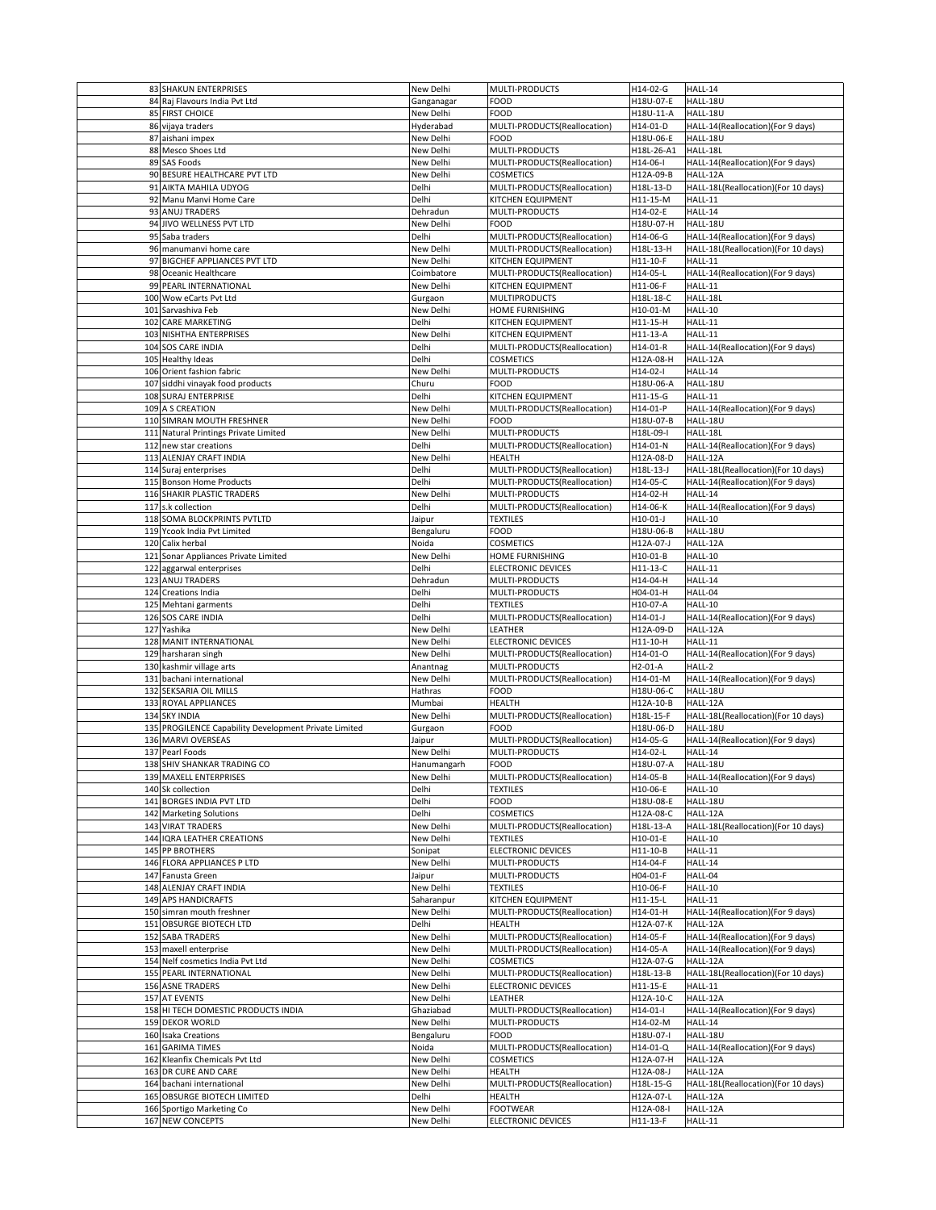| 83 SHAKUN ENTERPRISES                                 | New Delhi   | MULTI-PRODUCTS               | H14-02-G   | HALL-14                             |
|-------------------------------------------------------|-------------|------------------------------|------------|-------------------------------------|
| 84 Raj Flavours India Pvt Ltd                         | Ganganagar  | <b>FOOD</b>                  | H18U-07-E  | HALL-18U                            |
|                                                       |             |                              |            |                                     |
| 85 FIRST CHOICE                                       | New Delhi   | <b>FOOD</b>                  | H18U-11-A  | HALL-18U                            |
| 86 vijaya traders                                     | Hyderabad   | MULTI-PRODUCTS(Reallocation) | H14-01-D   | HALL-14(Reallocation)(For 9 days)   |
| 87 aishani impex                                      | New Delhi   | <b>FOOD</b>                  | H18U-06-E  | HALL-18U                            |
| 88 Mesco Shoes Ltd                                    | New Delhi   | MULTI-PRODUCTS               | H18L-26-A1 | HALL-18L                            |
| 89 SAS Foods                                          | New Delhi   | MULTI-PRODUCTS(Reallocation) | H14-06-I   | HALL-14(Reallocation)(For 9 days)   |
|                                                       |             | <b>COSMETICS</b>             |            |                                     |
| 90 BESURE HEALTHCARE PVT LTD                          | New Delhi   |                              | H12A-09-B  | HALL-12A                            |
| 91 AIKTA MAHILA UDYOG                                 | Delhi       | MULTI-PRODUCTS(Reallocation) | H18L-13-D  | HALL-18L(Reallocation)(For 10 days) |
| 92 Manu Manvi Home Care                               | Delhi       | KITCHEN EQUIPMENT            | H11-15-M   | <b>HALL-11</b>                      |
| 93 ANUJ TRADERS                                       | Dehradun    | MULTI-PRODUCTS               | H14-02-E   | HALL-14                             |
| 94 JIVO WELLNESS PVT LTD                              | New Delhi   | <b>FOOD</b>                  | H18U-07-H  | HALL-18U                            |
| 95 Saba traders                                       | Delhi       | MULTI-PRODUCTS(Reallocation) | H14-06-G   | HALL-14(Reallocation)(For 9 days)   |
|                                                       |             |                              |            |                                     |
| 96 manumanvi home care                                | New Delhi   | MULTI-PRODUCTS(Reallocation) | H18L-13-H  | HALL-18L(Reallocation)(For 10 days) |
| 97 BIGCHEF APPLIANCES PVT LTD                         | New Delhi   | KITCHEN EQUIPMENT            | H11-10-F   | <b>HALL-11</b>                      |
| 98 Oceanic Healthcare                                 | Coimbatore  | MULTI-PRODUCTS(Reallocation) | H14-05-L   | HALL-14(Reallocation)(For 9 days)   |
| 99 PEARL INTERNATIONAL                                | New Delhi   | <b>KITCHEN EQUIPMENT</b>     | H11-06-F   | <b>HALL-11</b>                      |
| 100 Wow eCarts Pvt Ltd                                | Gurgaon     | <b>MULTIPRODUCTS</b>         | H18L-18-C  | HALL-18L                            |
| 101 Sarvashiva Feb                                    | New Delhi   | HOME FURNISHING              | H10-01-M   | HALL-10                             |
|                                                       |             |                              |            |                                     |
| 102 CARE MARKETING                                    | Delhi       | KITCHEN EQUIPMENT            | H11-15-H   | HALL-11                             |
| 103 NISHTHA ENTERPRISES                               | New Delhi   | <b>KITCHEN EQUIPMENT</b>     | H11-13-A   | HALL-11                             |
| 104 SOS CARE INDIA                                    | Delhi       | MULTI-PRODUCTS(Reallocation) | H14-01-R   | HALL-14(Reallocation)(For 9 days)   |
| 105 Healthy Ideas                                     | Delhi       | <b>COSMETICS</b>             | H12A-08-H  | HALL-12A                            |
| 106 Orient fashion fabric                             | New Delhi   | MULTI-PRODUCTS               | $H14-02-I$ | HALL-14                             |
|                                                       |             |                              |            |                                     |
| 107 siddhi vinayak food products                      | Churu       | <b>FOOD</b>                  | H18U-06-A  | HALL-18U                            |
| 108 SURAJ ENTERPRISE                                  | Delhi       | <b>KITCHEN EQUIPMENT</b>     | H11-15-G   | <b>HALL-11</b>                      |
| 109 A S CREATION                                      | New Delhi   | MULTI-PRODUCTS(Reallocation) | H14-01-P   | HALL-14(Reallocation)(For 9 days)   |
| 110 SIMRAN MOUTH FRESHNER                             | New Delhi   | <b>FOOD</b>                  | H18U-07-B  | HALL-18U                            |
| 111 Natural Printings Private Limited                 | New Delhi   | MULTI-PRODUCTS               | H18L-09-I  | HALL-18L                            |
|                                                       |             |                              |            |                                     |
| 112 new star creations                                | Delhi       | MULTI-PRODUCTS(Reallocation) | H14-01-N   | HALL-14(Reallocation)(For 9 days)   |
| 113 ALENJAY CRAFT INDIA                               | New Delhi   | <b>HEALTH</b>                | H12A-08-D  | HALL-12A                            |
| 114 Suraj enterprises                                 | Delhi       | MULTI-PRODUCTS(Reallocation) | H18L-13-J  | HALL-18L(Reallocation)(For 10 days) |
| 115 Bonson Home Products                              | Delhi       | MULTI-PRODUCTS(Reallocation) | H14-05-C   | HALL-14(Reallocation)(For 9 days)   |
| 116 SHAKIR PLASTIC TRADERS                            | New Delhi   | MULTI-PRODUCTS               | H14-02-H   | HALL-14                             |
|                                                       |             |                              |            |                                     |
| 117 s.k collection                                    | Delhi       | MULTI-PRODUCTS(Reallocation) | H14-06-K   | HALL-14(Reallocation)(For 9 days)   |
| 118 SOMA BLOCKPRINTS PVTLTD                           | Jaipur      | <b>TEXTILES</b>              | H10-01-J   | HALL-10                             |
| 119 Ycook India Pvt Limited                           | Bengaluru   | <b>FOOD</b>                  | H18U-06-B  | HALL-18U                            |
| 120 Calix herbal                                      | Noida       | <b>COSMETICS</b>             | H12A-07-J  | HALL-12A                            |
| 121 Sonar Appliances Private Limited                  | New Delhi   | <b>HOME FURNISHING</b>       | H10-01-B   | HALL-10                             |
|                                                       |             |                              |            |                                     |
| 122 aggarwal enterprises                              | Delhi       | <b>ELECTRONIC DEVICES</b>    | H11-13-C   | <b>HALL-11</b>                      |
| 123 ANUJ TRADERS                                      | Dehradun    | MULTI-PRODUCTS               | H14-04-H   | HALL-14                             |
| 124 Creations India                                   | Delhi       | MULTI-PRODUCTS               | H04-01-H   | HALL-04                             |
|                                                       |             |                              |            |                                     |
|                                                       | Delhi       | <b>TEXTILES</b>              | H10-07-A   | HALL-10                             |
| 125 Mehtani garments                                  |             |                              |            |                                     |
| 126 SOS CARE INDIA                                    | Delhi       | MULTI-PRODUCTS(Reallocation) | $H14-01-J$ | HALL-14(Reallocation)(For 9 days)   |
| 127 Yashika                                           | New Delhi   | LEATHER                      | H12A-09-D  | HALL-12A                            |
| 128 MANIT INTERNATIONAL                               | New Delhi   | <b>ELECTRONIC DEVICES</b>    | H11-10-H   | <b>HALL-11</b>                      |
| 129 harsharan singh                                   | New Delhi   | MULTI-PRODUCTS(Reallocation) | H14-01-O   | HALL-14(Reallocation)(For 9 days)   |
|                                                       |             | MULTI-PRODUCTS               | $H2-01-A$  | HALL-2                              |
| 130 kashmir village arts                              | Anantnag    |                              |            |                                     |
| 131 bachani international                             | New Delhi   | MULTI-PRODUCTS(Reallocation) | H14-01-M   | HALL-14(Reallocation)(For 9 days)   |
| 132 SEKSARIA OIL MILLS                                | Hathras     | <b>FOOD</b>                  | H18U-06-C  | HALL-18U                            |
| 133 ROYAL APPLIANCES                                  | Mumbai      | <b>HEALTH</b>                | H12A-10-B  | HALL-12A                            |
| 134 SKY INDIA                                         | New Delhi   | MULTI-PRODUCTS(Reallocation) | H18L-15-F  | HALL-18L(Reallocation)(For 10 days) |
| 135 PROGILENCE Capability Development Private Limited | Gurgaon     | <b>FOOD</b>                  | H18U-06-D  | HALL-18U                            |
|                                                       |             |                              |            |                                     |
| 136 MARVI OVERSEAS                                    | Jaipur      | MULTI-PRODUCTS(Reallocation) | H14-05-G   | HALL-14(Reallocation)(For 9 days)   |
| 137 Pearl Foods                                       | New Delhi   | MULTI-PRODUCTS               | H14-02-L   | HALL-14                             |
| 138 SHIV SHANKAR TRADING CO                           | Hanumangarh | <b>FOOD</b>                  | H18U-07-A  | HALL-18U                            |
| 139 MAXELL ENTERPRISES                                | New Delhi   | MULTI-PRODUCTS(Reallocation) | H14-05-B   | HALL-14(Reallocation)(For 9 days)   |
| 140 Sk collection                                     | Delhi       | <b>TEXTILES</b>              | H10-06-E   | HALL-10                             |
| 141 BORGES INDIA PVT LTD                              | Delhi       | <b>FOOD</b>                  | H18U-08-E  | HALL-18U                            |
|                                                       | Delhi       | <b>COSMETICS</b>             | H12A-08-C  | HALL-12A                            |
| 142 Marketing Solutions                               |             |                              |            |                                     |
| 143 VIRAT TRADERS                                     | New Delhi   | MULTI-PRODUCTS(Reallocation) | H18L-13-A  | HALL-18L(Reallocation)(For 10 days) |
| 144 IQRA LEATHER CREATIONS                            | New Delhi   | <b>TEXTILES</b>              | H10-01-E   | HALL-10                             |
| 145 PP BROTHERS                                       | Sonipat     | <b>ELECTRONIC DEVICES</b>    | H11-10-B   | <b>HALL-11</b>                      |
| 146 FLORA APPLIANCES P LTD                            | New Delhi   | MULTI-PRODUCTS               | H14-04-F   | HALL-14                             |
| 147 Fanusta Green                                     | Jaipur      | <b>MULTI-PRODUCTS</b>        | H04-01-F   | HALL-04                             |
|                                                       |             |                              |            |                                     |
| 148 ALENJAY CRAFT INDIA                               | New Delhi   | <b>TEXTILES</b>              | H10-06-F   | HALL-10                             |
| 149 APS HANDICRAFTS                                   | Saharanpur  | KITCHEN EQUIPMENT            | H11-15-L   | HALL-11                             |
| 150 simran mouth freshner                             | New Delhi   | MULTI-PRODUCTS(Reallocation) | H14-01-H   | HALL-14(Reallocation)(For 9 days)   |
| 151 OBSURGE BIOTECH LTD                               | Delhi       | <b>HEALTH</b>                | H12A-07-K  | HALL-12A                            |
| 152 SABA TRADERS                                      | New Delhi   | MULTI-PRODUCTS(Reallocation) | H14-05-F   | HALL-14(Reallocation)(For 9 days)   |
|                                                       |             |                              |            |                                     |
| 153 maxell enterprise                                 | New Delhi   | MULTI-PRODUCTS(Reallocation) | H14-05-A   | HALL-14(Reallocation)(For 9 days)   |
| 154 Nelf cosmetics India Pvt Ltd                      | New Delhi   | <b>COSMETICS</b>             | H12A-07-G  | HALL-12A                            |
| 155 PEARL INTERNATIONAL                               | New Delhi   | MULTI-PRODUCTS(Reallocation) | H18L-13-B  | HALL-18L(Reallocation)(For 10 days) |
| 156 ASNE TRADERS                                      | New Delhi   | <b>ELECTRONIC DEVICES</b>    | H11-15-E   | <b>HALL-11</b>                      |
| 157 AT EVENTS                                         | New Delhi   | LEATHER                      | H12A-10-C  | HALL-12A                            |
|                                                       |             |                              |            |                                     |
| 158 HI TECH DOMESTIC PRODUCTS INDIA                   | Ghaziabad   | MULTI-PRODUCTS(Reallocation) | $H14-01-I$ | HALL-14(Reallocation)(For 9 days)   |
| 159 DEKOR WORLD                                       | New Delhi   | MULTI-PRODUCTS               | H14-02-M   | HALL-14                             |
| 160 Isaka Creations                                   | Bengaluru   | <b>FOOD</b>                  | H18U-07-I  | HALL-18U                            |
| 161 GARIMA TIMES                                      | Noida       | MULTI-PRODUCTS(Reallocation) | H14-01-Q   | HALL-14(Reallocation)(For 9 days)   |
| 162 Kleanfix Chemicals Pvt Ltd                        | New Delhi   | <b>COSMETICS</b>             | H12A-07-H  | HALL-12A                            |
|                                                       |             |                              |            |                                     |
| 163 DR CURE AND CARE                                  | New Delhi   | <b>HEALTH</b>                | H12A-08-J  | HALL-12A                            |
| 164 bachani international                             | New Delhi   | MULTI-PRODUCTS(Reallocation) | H18L-15-G  | HALL-18L(Reallocation)(For 10 days) |
| 165 OBSURGE BIOTECH LIMITED                           | Delhi       | <b>HEALTH</b>                | H12A-07-L  | HALL-12A                            |
| 166 Sportigo Marketing Co                             | New Delhi   | <b>FOOTWEAR</b>              | H12A-08-I  | HALL-12A                            |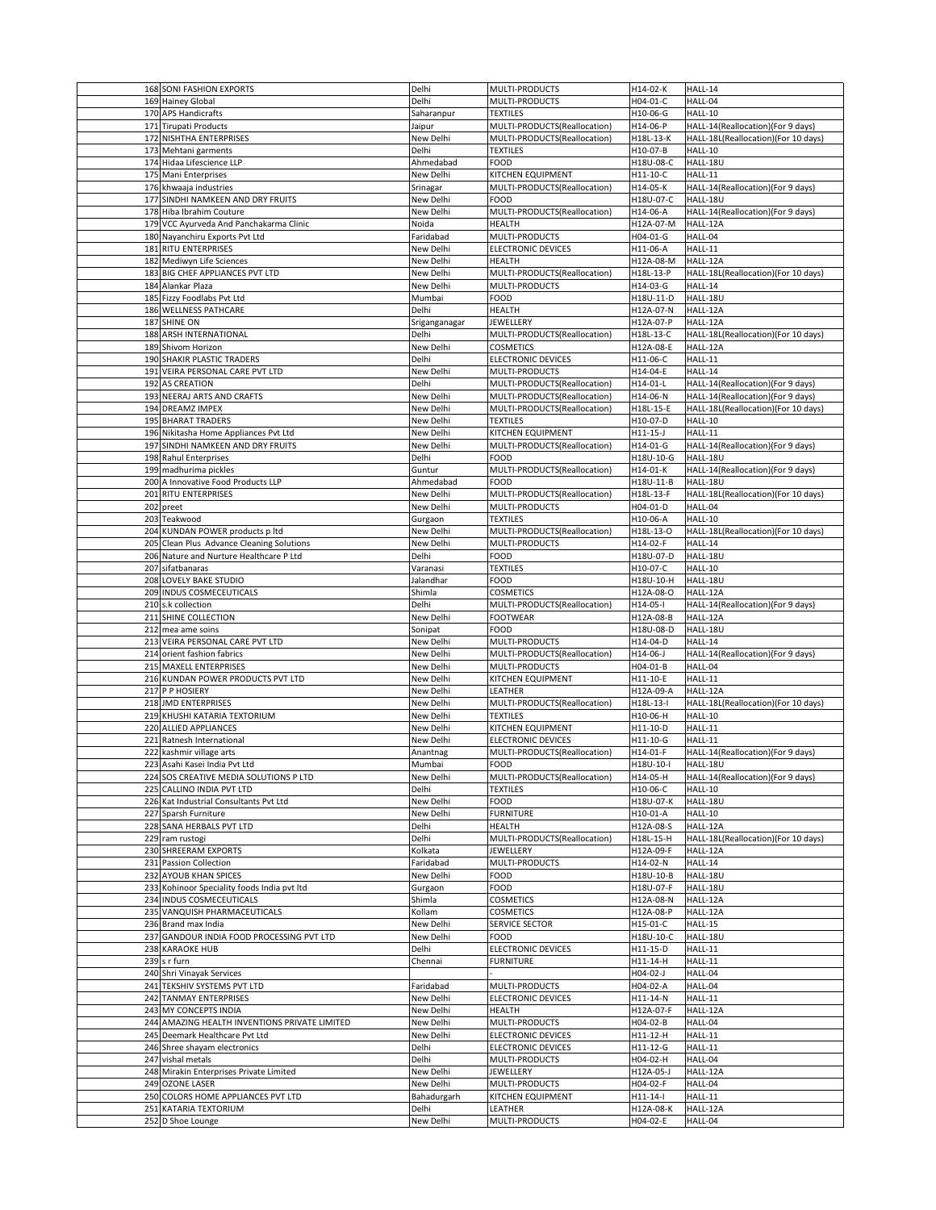| 168 SONI FASHION EXPORTS                      | Delhi              | MULTI-PRODUCTS                   | H14-02-K              | HALL-14                             |
|-----------------------------------------------|--------------------|----------------------------------|-----------------------|-------------------------------------|
| 169 Hainey Global                             | Delhi              | MULTI-PRODUCTS                   | H04-01-C              | HALL-04                             |
|                                               |                    |                                  |                       |                                     |
| 170 APS Handicrafts                           | Saharanpur         | <b>TEXTILES</b>                  | H10-06-G              | HALL-10                             |
| 171 Tirupati Products                         | Jaipur             | MULTI-PRODUCTS(Reallocation)     | H14-06-P              | HALL-14(Reallocation)(For 9 days)   |
| 172 NISHTHA ENTERPRISES                       | New Delhi          | MULTI-PRODUCTS(Reallocation)     | H18L-13-K             | HALL-18L(Reallocation)(For 10 days) |
| 173 Mehtani garments                          | Delhi              | <b>TEXTILES</b>                  | H10-07-B              | HALL-10                             |
| 174 Hidaa Lifescience LLP                     | Ahmedabad          | <b>FOOD</b>                      | H18U-08-C             | HALL-18U                            |
| 175 Mani Enterprises                          | New Delhi          | <b>KITCHEN EQUIPMENT</b>         | H11-10-C              | HALL-11                             |
|                                               |                    |                                  |                       |                                     |
| 176 khwaaja industries                        | Srinagar           | MULTI-PRODUCTS(Reallocation)     | H14-05-K              | HALL-14(Reallocation)(For 9 days)   |
| 177 SINDHI NAMKEEN AND DRY FRUITS             | New Delhi          | <b>FOOD</b>                      | H18U-07-C             | HALL-18U                            |
| 178 Hiba Ibrahim Couture                      | New Delhi          | MULTI-PRODUCTS(Reallocation)     | H14-06-A              | HALL-14(Reallocation)(For 9 days)   |
| 179 VCC Ayurveda And Panchakarma Clinic       | Noida              | <b>HEALTH</b>                    | H12A-07-M             | HALL-12A                            |
| 180 Nayanchiru Exports Pvt Ltd                | Faridabad          | <b>MULTI-PRODUCTS</b>            | H04-01-G              | HALL-04                             |
| 181 RITU ENTERPRISES                          | New Delhi          | <b>ELECTRONIC DEVICES</b>        | H11-06-A              | HALL-11                             |
| 182 Mediwyn Life Sciences                     | New Delhi          | <b>HEALTH</b>                    | H12A-08-M             | HALL-12A                            |
| 183 BIG CHEF APPLIANCES PVT LTD               | New Delhi          | MULTI-PRODUCTS(Reallocation)     | H18L-13-P             | HALL-18L(Reallocation)(For 10 days) |
| 184 Alankar Plaza                             | New Delhi          | MULTI-PRODUCTS                   | H14-03-G              | HALL-14                             |
|                                               |                    |                                  |                       |                                     |
| 185 Fizzy Foodlabs Pvt Ltd                    | Mumbai             | <b>FOOD</b>                      | H18U-11-D             | HALL-18U                            |
| 186 WELLNESS PATHCARE                         | Delhi              | <b>HEALTH</b>                    | H12A-07-N             | HALL-12A                            |
| 187 SHINE ON                                  | Sriganganagar      | <b>JEWELLERY</b>                 | H12A-07-P             | HALL-12A                            |
| 188 ARSH INTERNATIONAL                        | Delhi              | MULTI-PRODUCTS(Reallocation)     | H18L-13-C             | HALL-18L(Reallocation)(For 10 days) |
| 189 Shivom Horizon                            | New Delhi          | <b>COSMETICS</b>                 | H12A-08-E             | HALL-12A                            |
| 190 SHAKIR PLASTIC TRADERS                    | Delhi              | <b>ELECTRONIC DEVICES</b>        | H11-06-C              | HALL-11                             |
| 191 VEIRA PERSONAL CARE PVT LTD               | New Delhi          | MULTI-PRODUCTS                   | H14-04-E              | HALL-14                             |
| 192 AS CREATION                               | Delhi              | MULTI-PRODUCTS(Reallocation)     | H14-01-L              | HALL-14(Reallocation)(For 9 days)   |
|                                               |                    |                                  |                       |                                     |
| 193 NEERAJ ARTS AND CRAFTS                    | New Delhi          | MULTI-PRODUCTS(Reallocation)     | H14-06-N              | HALL-14(Reallocation)(For 9 days)   |
| 194 DREAMZ IMPEX                              | New Delhi          | MULTI-PRODUCTS(Reallocation)     | H18L-15-E             | HALL-18L(Reallocation)(For 10 days) |
| 195 BHARAT TRADERS                            | New Delhi          | <b>TEXTILES</b>                  | H10-07-D              | HALL-10                             |
| 196 Nikitasha Home Appliances Pvt Ltd         | New Delhi          | KITCHEN EQUIPMENT                | H11-15-J              | HALL-11                             |
| 197 SINDHI NAMKEEN AND DRY FRUITS             | New Delhi          | MULTI-PRODUCTS(Reallocation)     | H14-01-G              | HALL-14(Reallocation)(For 9 days)   |
| 198 Rahul Enterprises                         | Delhi              | <b>FOOD</b>                      | H18U-10-G             | HALL-18U                            |
| 199 madhurima pickles                         | Guntur             | MULTI-PRODUCTS(Reallocation)     | H14-01-K              | HALL-14(Reallocation)(For 9 days)   |
| 200 A Innovative Food Products LLP            | Ahmedabad          | <b>FOOD</b>                      | H18U-11-B             | HALL-18U                            |
|                                               |                    |                                  |                       |                                     |
| 201 RITU ENTERPRISES                          | New Delhi          | MULTI-PRODUCTS(Reallocation)     | H18L-13-F             | HALL-18L(Reallocation)(For 10 days) |
| $202$ preet                                   | New Delhi          | MULTI-PRODUCTS                   | H04-01-D              | HALL-04                             |
| 203 Teakwood                                  | Gurgaon            | <b>TEXTILES</b>                  | H10-06-A              | HALL-10                             |
| 204 KUNDAN POWER products p ltd               | New Delhi          | MULTI-PRODUCTS(Reallocation)     | H18L-13-O             | HALL-18L(Reallocation)(For 10 days) |
| 205 Clean Plus Advance Cleaning Solutions     | New Delhi          | MULTI-PRODUCTS                   | H14-02-F              | HALL-14                             |
| 206 Nature and Nurture Healthcare P Ltd       | Delhi              | <b>FOOD</b>                      | H18U-07-D             | HALL-18U                            |
| 207 sifatbanaras                              | Varanasi           | <b>TEXTILES</b>                  | H10-07-C              | HALL-10                             |
|                                               |                    |                                  |                       |                                     |
| 208 LOVELY BAKE STUDIO                        | Jalandhar          | <b>FOOD</b>                      | H18U-10-H             | HALL-18U                            |
| 209 INDUS COSMECEUTICALS                      | Shimla             | <b>COSMETICS</b>                 | H12A-08-O             | HALL-12A                            |
| 210 s.k collection                            | Delhi              | MULTI-PRODUCTS(Reallocation)     | H14-05-I              | HALL-14(Reallocation)(For 9 days)   |
| 211 SHINE COLLECTION                          | New Delhi          | <b>FOOTWEAR</b>                  | H12A-08-B             | HALL-12A                            |
| 212 mea ame soins                             | Sonipat            | <b>FOOD</b>                      | H18U-08-D             | HALL-18U                            |
| 213 VEIRA PERSONAL CARE PVT LTD               | New Delhi          | MULTI-PRODUCTS                   | H14-04-D              | HALL-14                             |
| 214 orient fashion fabrics                    | New Delhi          | MULTI-PRODUCTS(Reallocation)     | H14-06-J              | HALL-14(Reallocation)(For 9 days)   |
| 215 MAXELL ENTERPRISES                        | New Delhi          | <b>MULTI-PRODUCTS</b>            | H04-01-B              | HALL-04                             |
| 216 KUNDAN POWER PRODUCTS PVT LTD             | New Delhi          | KITCHEN EQUIPMENT                | H11-10-E              | HALL-11                             |
|                                               |                    |                                  |                       |                                     |
| 217 P P HOSIERY                               | New Delhi          | <b>LEATHER</b>                   | H12A-09-A             | HALL-12A                            |
| 218 JMD ENTERPRISES                           | New Delhi          | MULTI-PRODUCTS(Reallocation)     | H18L-13-I             | HALL-18L(Reallocation)(For 10 days) |
|                                               |                    |                                  |                       |                                     |
| 219 KHUSHI KATARIA TEXTORIUM                  | New Delhi          | <b>TEXTILES</b>                  | H10-06-H              | HALL-10                             |
| 220 ALLIED APPLIANCES                         | New Delhi          | KITCHEN EQUIPMENT                | H11-10-D              | HALL-11                             |
| 221 Ratnesh International                     | New Delhi          | <b>ELECTRONIC DEVICES</b>        | H11-10-G              | HALL-11                             |
| 222 kashmir village arts                      | Anantnag           | MULTI-PRODUCTS(Reallocation)     | H14-01-F              | HALL-14(Reallocation)(For 9 days)   |
| 223 Asahi Kasei India Pvt Ltd                 |                    | <b>FOOD</b>                      |                       | HALL-18U                            |
|                                               | Mumbai             |                                  | H18U-10-I             |                                     |
| 224 SOS CREATIVE MEDIA SOLUTIONS P LTD        | New Delhi          | MULTI-PRODUCTS(Reallocation)     | H14-05-H              | HALL-14(Reallocation)(For 9 days)   |
| 225 CALLINO INDIA PVT LTD                     | Delhi              | <b>TEXTILES</b>                  | H10-06-C              | HALL-10                             |
| 226 Kat Industrial Consultants Pvt Ltd        | New Delhi          | <b>FOOD</b>                      | H18U-07-K             | HALL-18U                            |
| 227 Sparsh Furniture                          | New Delhi          | <b>FURNITURE</b>                 | H10-01-A              | HALL-10                             |
| 228 SANA HERBALS PVT LTD                      | Delhi              | <b>HEALTH</b>                    | H12A-08-S             | HALL-12A                            |
| 229 ram rustogi                               | Delhi              | MULTI-PRODUCTS(Reallocation)     | H18L-15-H             | HALL-18L(Reallocation)(For 10 days) |
| 230 SHREERAM EXPORTS                          | Kolkata            | JEWELLERY                        | H12A-09-F             | HALL-12A                            |
| 231 Passion Collection                        | Faridabad          | <b>MULTI-PRODUCTS</b>            | H14-02-N              | HALL-14                             |
| 232 AYOUB KHAN SPICES                         | New Delhi          | <b>FOOD</b>                      | H18U-10-B             | HALL-18U                            |
|                                               |                    |                                  |                       |                                     |
| 233 Kohinoor Speciality foods India pvt Itd   | Gurgaon            | <b>FOOD</b>                      | H18U-07-F             | HALL-18U                            |
| 234 INDUS COSMECEUTICALS                      | Shimla             | <b>COSMETICS</b>                 | H12A-08-N             | HALL-12A                            |
| 235 VANQUISH PHARMACEUTICALS                  | Kollam             | <b>COSMETICS</b>                 | H12A-08-P             | HALL-12A                            |
| 236 Brand max India                           | New Delhi          | <b>SERVICE SECTOR</b>            | H15-01-C              | HALL-15                             |
| 237 GANDOUR INDIA FOOD PROCESSING PVT LTD     | New Delhi          | <b>FOOD</b>                      | H18U-10-C             | HALL-18U                            |
| 238 KARAOKE HUB                               | Delhi              | <b>ELECTRONIC DEVICES</b>        | H11-15-D              | HALL-11                             |
| $239$ s r furn                                | Chennai            | <b>FURNITURE</b>                 | H11-14-H              | HALL-11                             |
| 240 Shri Vinayak Services                     |                    |                                  | H04-02-J              | HALL-04                             |
| 241 TEKSHIV SYSTEMS PVT LTD                   | Faridabad          | MULTI-PRODUCTS                   | H04-02-A              | HALL-04                             |
|                                               |                    |                                  |                       |                                     |
| 242 TANMAY ENTERPRISES                        | New Delhi          | <b>ELECTRONIC DEVICES</b>        | H11-14-N              | HALL-11                             |
| 243 MY CONCEPTS INDIA                         | New Delhi          | <b>HEALTH</b>                    | H12A-07-F             | HALL-12A                            |
| 244 AMAZING HEALTH INVENTIONS PRIVATE LIMITED | New Delhi          | MULTI-PRODUCTS                   | H04-02-B              | HALL-04                             |
| 245 Deemark Healthcare Pvt Ltd                | New Delhi          | <b>ELECTRONIC DEVICES</b>        | H11-12-H              | HALL-11                             |
| 246 Shree shayam electronics                  | Delhi              | <b>ELECTRONIC DEVICES</b>        | H11-12-G              | HALL-11                             |
| 247 vishal metals                             | Delhi              | <b>MULTI-PRODUCTS</b>            | H04-02-H              | HALL-04                             |
| 248 Mirakin Enterprises Private Limited       | New Delhi          | <b>JEWELLERY</b>                 | H12A-05-J             | HALL-12A                            |
| 249 OZONE LASER                               | New Delhi          | MULTI-PRODUCTS                   | H04-02-F              | HALL-04                             |
|                                               |                    |                                  |                       |                                     |
| 250 COLORS HOME APPLIANCES PVT LTD            | Bahadurgarh        | KITCHEN EQUIPMENT                | H11-14-I              | HALL-11                             |
| 251 KATARIA TEXTORIUM<br>252 D Shoe Lounge    | Delhi<br>New Delhi | <b>LEATHER</b><br>MULTI-PRODUCTS | H12A-08-K<br>H04-02-E | HALL-12A<br>HALL-04                 |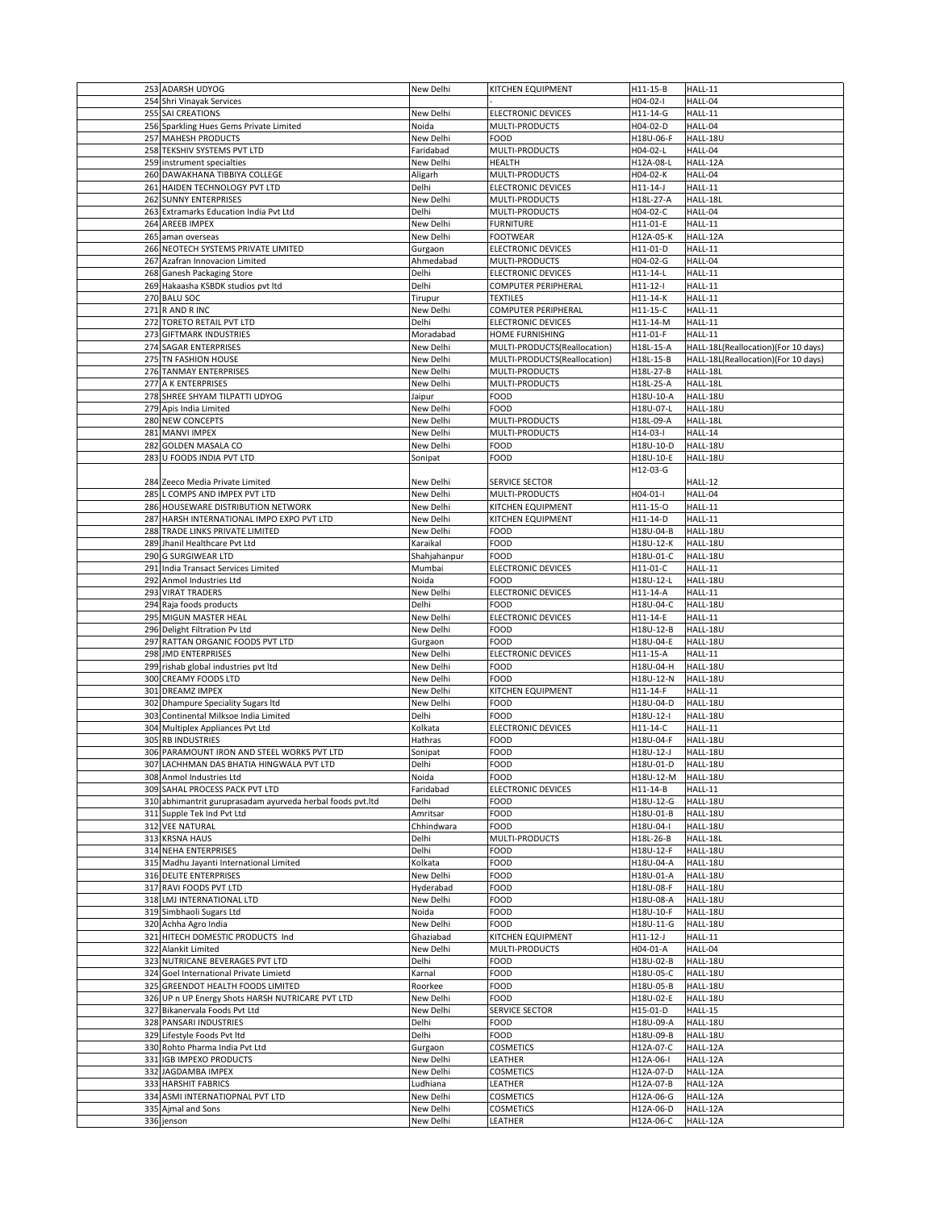| 253 ADARSH UDYOG                                                             | New Delhi              | <b>KITCHEN EQUIPMENT</b>                 | H11-15-B               | HALL-11                             |
|------------------------------------------------------------------------------|------------------------|------------------------------------------|------------------------|-------------------------------------|
| 254 Shri Vinayak Services                                                    |                        |                                          | H04-02-I               | HALL-04                             |
| 255 SAI CREATIONS                                                            | New Delhi              | <b>ELECTRONIC DEVICES</b>                | H11-14-G               | HALL-11                             |
| 256 Sparkling Hues Gems Private Limited                                      | Noida                  | MULTI-PRODUCTS                           | H04-02-D               | HALL-04                             |
| 257 MAHESH PRODUCTS                                                          | New Delhi              | <b>FOOD</b>                              | H18U-06-F              | HALL-18U                            |
| 258 TEKSHIV SYSTEMS PVT LTD                                                  | Faridabad              | MULTI-PRODUCTS                           | H04-02-L               | HALL-04                             |
| 259 instrument specialties                                                   | New Delhi              | <b>HEALTH</b>                            | H12A-08-L              | HALL-12A                            |
| 260 DAWAKHANA TIBBIYA COLLEGE                                                | Aligarh                | MULTI-PRODUCTS                           | H04-02-K               | HALL-04                             |
| 261 HAIDEN TECHNOLOGY PVT LTD                                                | Delhi                  | <b>ELECTRONIC DEVICES</b>                | $H11-14-J$             | HALL-11                             |
| 262 SUNNY ENTERPRISES                                                        | New Delhi              | MULTI-PRODUCTS                           | H18L-27-A              | HALL-18L                            |
| 263 Extramarks Education India Pvt Ltd                                       | Delhi                  | MULTI-PRODUCTS                           | H04-02-C               | HALL-04                             |
| 264 AREEB IMPEX                                                              | New Delhi              | <b>FURNITURE</b><br><b>FOOTWEAR</b>      | H11-01-E               | HALL-11                             |
| 265 aman overseas<br>266 NEOTECH SYSTEMS PRIVATE LIMITED                     | New Delhi<br>Gurgaon   | <b>ELECTRONIC DEVICES</b>                | H12A-05-K<br>H11-01-D  | HALL-12A<br>HALL-11                 |
| 267 Azafran Innovacion Limited                                               | Ahmedabad              | <b>MULTI-PRODUCTS</b>                    | H04-02-G               | HALL-04                             |
| 268 Ganesh Packaging Store                                                   | Delhi                  | <b>ELECTRONIC DEVICES</b>                | H11-14-L               | HALL-11                             |
| 269 Hakaasha KSBDK studios pvt ltd                                           | Delhi                  | <b>COMPUTER PERIPHERAL</b>               | H11-12-I               | HALL-11                             |
| 270 BALU SOC                                                                 | Tirupur                | <b>TEXTILES</b>                          | H11-14-K               | HALL-11                             |
| $271$ R AND R INC                                                            | New Delhi              | <b>COMPUTER PERIPHERAL</b>               | H11-15-C               | HALL-11                             |
| 272 TORETO RETAIL PVT LTD                                                    | Delhi                  | <b>ELECTRONIC DEVICES</b>                | H11-14-M               | HALL-11                             |
| 273 GIFTMARK INDUSTRIES                                                      | Moradabad              | HOME FURNISHING                          | H11-01-F               | HALL-11                             |
| 274 SAGAR ENTERPRISES                                                        | New Delhi              | MULTI-PRODUCTS(Reallocation)             | H18L-15-A              | HALL-18L(Reallocation)(For 10 days) |
| 275 TN FASHION HOUSE                                                         | New Delhi              | MULTI-PRODUCTS(Reallocation)             | H18L-15-B              | HALL-18L(Reallocation)(For 10 days) |
| 276 TANMAY ENTERPRISES                                                       | New Delhi              | <b>MULTI-PRODUCTS</b>                    | H18L-27-B              | HALL-18L                            |
| 277 A K ENTERPRISES                                                          | New Delhi              | MULTI-PRODUCTS<br><b>FOOD</b>            | H18L-25-A              | HALL-18L                            |
| 278 SHREE SHYAM TILPATTI UDYOG<br>279 Apis India Limited                     | Jaipur<br>New Delhi    | <b>FOOD</b>                              | H18U-10-A<br>H18U-07-L | HALL-18U<br>HALL-18U                |
| 280 NEW CONCEPTS                                                             | New Delhi              | MULTI-PRODUCTS                           | H18L-09-A              | HALL-18L                            |
| 281 MANVI IMPEX                                                              | New Delhi              | MULTI-PRODUCTS                           | H14-03-I               | HALL-14                             |
| 282 GOLDEN MASALA CO                                                         | New Delhi              | <b>FOOD</b>                              | H18U-10-D              | HALL-18U                            |
| 283 U FOODS INDIA PVT LTD                                                    | Sonipat                | <b>FOOD</b>                              | H18U-10-E              | HALL-18U                            |
|                                                                              |                        |                                          | H12-03-G               |                                     |
| 284 Zeeco Media Private Limited                                              | New Delhi              | <b>SERVICE SECTOR</b>                    |                        | HALL-12                             |
| 285 L COMPS AND IMPEX PVT LTD                                                | New Delhi              | <b>MULTI-PRODUCTS</b>                    | H04-01-I               | HALL-04                             |
| 286 HOUSEWARE DISTRIBUTION NETWORK                                           | New Delhi              | KITCHEN EQUIPMENT                        | H11-15-O               | HALL-11                             |
| 287 HARSH INTERNATIONAL IMPO EXPO PVT LTD<br>288 TRADE LINKS PRIVATE LIMITED | New Delhi<br>New Delhi | <b>KITCHEN EQUIPMENT</b><br><b>FOOD</b>  | H11-14-D<br>H18U-04-B  | HALL-11<br>HALL-18U                 |
| 289 Jhanil Healthcare Pvt Ltd                                                | Karaikal               | <b>FOOD</b>                              | H18U-12-K              | HALL-18U                            |
| 290 G SURGIWEAR LTD                                                          | Shahjahanpur           | FOOD                                     | H18U-01-C              | HALL-18U                            |
| 291 India Transact Services Limited                                          | Mumbai                 | <b>ELECTRONIC DEVICES</b>                | H11-01-C               | HALL-11                             |
| 292 Anmol Industries Ltd                                                     | Noida                  | <b>FOOD</b>                              | H18U-12-L              | HALL-18U                            |
| 293 VIRAT TRADERS                                                            | New Delhi              | <b>ELECTRONIC DEVICES</b>                | H11-14-A               | HALL-11                             |
| 294 Raja foods products                                                      | Delhi                  | <b>FOOD</b>                              | H18U-04-C              | HALL-18U                            |
| 295 MIGUN MASTER HEAL<br>296 Delight Filtration Pv Ltd                       | New Delhi<br>New Delhi | <b>ELECTRONIC DEVICES</b><br><b>FOOD</b> | H11-14-E<br>H18U-12-B  | HALL-11<br>HALL-18U                 |
| 297 RATTAN ORGANIC FOODS PVT LTD                                             | Gurgaon                | <b>FOOD</b>                              | H18U-04-E              | HALL-18U                            |
| 298 JMD ENTERPRISES                                                          | New Delhi              | <b>ELECTRONIC DEVICES</b>                | H11-15-A               | HALL-11                             |
| 299 rishab global industries pvt Itd                                         | New Delhi              | <b>FOOD</b>                              | H18U-04-H              | HALL-18U                            |
| 300 CREAMY FOODS LTD                                                         | New Delhi              | <b>FOOD</b>                              | H18U-12-N              | HALL-18U                            |
| 301 DREAMZ IMPEX                                                             | New Delhi              | <b>KITCHEN EQUIPMENT</b>                 | H11-14-F               | HALL-11                             |
| 302 Dhampure Speciality Sugars Itd                                           | New Delhi              | <b>FOOD</b>                              | H18U-04-D              | HALL-18U                            |
| 303 Continental Milksoe India Limited                                        | Delhi                  | <b>FOOD</b>                              | H18U-12-I              | HALL-18U                            |
| 304 Multiplex Appliances Pvt Ltd<br>305 RB INDUSTRIES                        | Kolkata<br>Hathras     | <b>ELECTRONIC DEVICES</b><br><b>FOOD</b> | H11-14-C<br>H18U-04-F  | HALL-11<br>HALL-18U                 |
| 306 PARAMOUNT IRON AND STEEL WORKS PVT LTD                                   | Sonipat                | <b>FOOD</b>                              | H18U-12-J              | HALL-18U                            |
| 307 LACHHMAN DAS BHATIA HINGWALA PVT LTD                                     | Delhi                  | <b>FOOD</b>                              | H18U-01-D              | HALL-18U                            |
| 308 Anmol Industries Ltd                                                     | Noida                  | <b>FOOD</b>                              | H18U-12-M              | HALL-18U                            |
| 309 SAHAL PROCESS PACK PVT LTD                                               | Faridabad              | <b>ELECTRONIC DEVICES</b>                | H11-14-B               | HALL-11                             |
| 310 abhimantrit guruprasadam ayurveda herbal foods pvt.ltd                   | Delhi                  | <b>FOOD</b>                              | H18U-12-G              | HALL-18U                            |
| 311 Supple Tek Ind Pvt Ltd                                                   | Amritsar               | <b>FOOD</b>                              | H18U-01-B              | HALL-18U                            |
| 312 VEE NATURAL                                                              | Chhindwara             | <b>FOOD</b>                              | H18U-04-I              | HALL-18U                            |
| 313 KRSNA HAUS<br>314 NEHA ENTERPRISES                                       | Delhi<br>Delhi         | MULTI-PRODUCTS<br><b>FOOD</b>            | H18L-26-B<br>H18U-12-F | HALL-18L<br>HALL-18U                |
| 315 Madhu Jayanti International Limited                                      | Kolkata                | <b>FOOD</b>                              | H18U-04-A              | HALL-18U                            |
| 316 DELITE ENTERPRISES                                                       | New Delhi              | <b>FOOD</b>                              | H18U-01-A              | HALL-18U                            |
| 317 RAVI FOODS PVT LTD                                                       | Hyderabad              | <b>FOOD</b>                              | H18U-08-F              | HALL-18U                            |
| 318 LMJ INTERNATIONAL LTD                                                    | New Delhi              | <b>FOOD</b>                              | H18U-08-A              | HALL-18U                            |
| 319 Simbhaoli Sugars Ltd                                                     | Noida                  | <b>FOOD</b>                              | H18U-10-F              | HALL-18U                            |
| 320 Achha Agro India                                                         | New Delhi              | <b>FOOD</b>                              | H18U-11-G              | HALL-18U                            |
| 321 HITECH DOMESTIC PRODUCTS Ind                                             | Ghaziabad              | KITCHEN EQUIPMENT                        | H11-12-J               | HALL-11                             |
| 322 Alankit Limited<br>323 NUTRICANE BEVERAGES PVT LTD                       | New Delhi<br>Delhi     | MULTI-PRODUCTS<br><b>FOOD</b>            | H04-01-A<br>H18U-02-B  | HALL-04<br>HALL-18U                 |
| 324 Goel International Private Limietd                                       | Karnal                 | <b>FOOD</b>                              | H18U-05-C              | HALL-18U                            |
| 325 GREENDOT HEALTH FOODS LIMITED                                            | Roorkee                | <b>FOOD</b>                              | H18U-05-B              | HALL-18U                            |
| 326 UP n UP Energy Shots HARSH NUTRICARE PVT LTD                             | New Delhi              | <b>FOOD</b>                              | H18U-02-E              | HALL-18U                            |
| 327 Bikanervala Foods Pvt Ltd                                                | New Delhi              | <b>SERVICE SECTOR</b>                    | H15-01-D               | HALL-15                             |
| 328 PANSARI INDUSTRIES                                                       | Delhi                  | <b>FOOD</b>                              | H18U-09-A              | HALL-18U                            |
| 329 Lifestyle Foods Pvt Itd                                                  | Delhi                  | <b>FOOD</b>                              | H18U-09-B              | HALL-18U                            |
| 330 Rohto Pharma India Pvt Ltd<br>331 IGB IMPEXO PRODUCTS                    | Gurgaon<br>New Delhi   | <b>COSMETICS</b><br>LEATHER              | H12A-07-C<br>H12A-06-I | HALL-12A<br>HALL-12A                |
| 332 JAGDAMBA IMPEX                                                           | New Delhi              | <b>COSMETICS</b>                         | H12A-07-D              | HALL-12A                            |
| 333 HARSHIT FABRICS                                                          | Ludhiana               | LEATHER                                  | H12A-07-B              | HALL-12A                            |
| 334 ASMI INTERNATIOPNAL PVT LTD                                              | New Delhi              | <b>COSMETICS</b>                         | H12A-06-G              | HALL-12A                            |
| 335 Ajmal and Sons                                                           | New Delhi              | <b>COSMETICS</b>                         | H12A-06-D              | HALL-12A                            |
| 336 jenson                                                                   | New Delhi              | LEATHER                                  | H12A-06-C              | HALL-12A                            |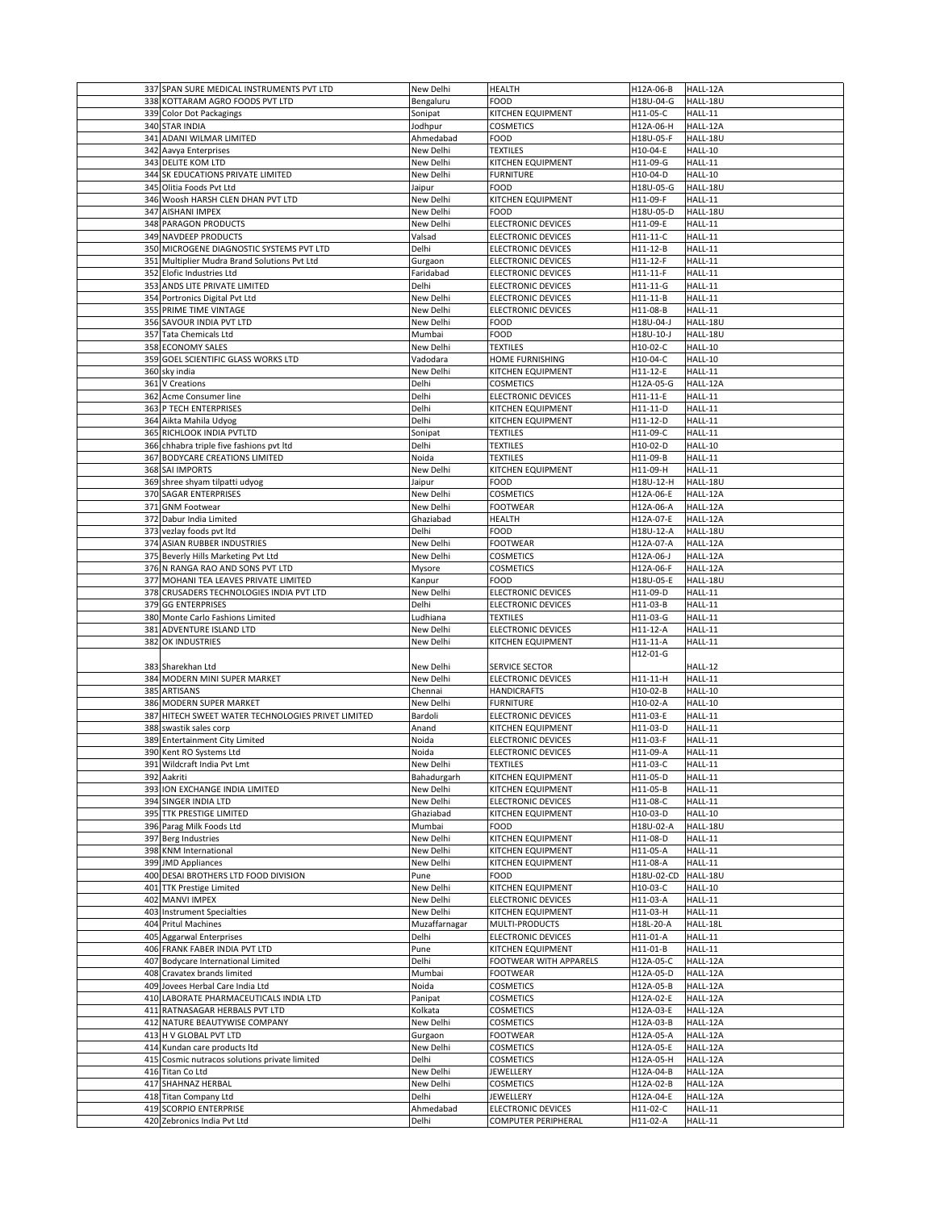| 337 SPAN SURE MEDICAL INSTRUMENTS PVT LTD                               | New Delhi                  | <b>HEALTH</b>                                           | H12A-06-B              | HALL-12A             |
|-------------------------------------------------------------------------|----------------------------|---------------------------------------------------------|------------------------|----------------------|
| 338 KOTTARAM AGRO FOODS PVT LTD                                         | Bengaluru                  | <b>FOOD</b>                                             | H18U-04-G              | HALL-18U             |
| 339 Color Dot Packagings                                                | Sonipat                    | <b>KITCHEN EQUIPMENT</b>                                | H11-05-C               | HALL-11              |
| 340 STAR INDIA                                                          | Jodhpur                    | <b>COSMETICS</b>                                        | H12A-06-H              | HALL-12A             |
| 341 ADANI WILMAR LIMITED                                                | Ahmedabad                  | <b>FOOD</b>                                             | H18U-05-F              | HALL-18U             |
| 342 Aavya Enterprises                                                   | New Delhi                  | <b>TEXTILES</b>                                         | H10-04-E               | HALL-10              |
| 343 DELITE KOM LTD                                                      | New Delhi                  | <b>KITCHEN EQUIPMENT</b>                                | H11-09-G               | HALL-11              |
| 344 SK EDUCATIONS PRIVATE LIMITED                                       | New Delhi                  | <b>FURNITURE</b>                                        | H10-04-D               | HALL-10              |
| 345 Olitia Foods Pvt Ltd                                                | Jaipur                     | <b>FOOD</b>                                             | H18U-05-G              | HALL-18U             |
| 346 Woosh HARSH CLEN DHAN PVT LTD                                       | New Delhi                  | KITCHEN EQUIPMENT                                       | H11-09-F               | HALL-11              |
| 347 AISHANI IMPEX                                                       | New Delhi                  | <b>FOOD</b>                                             | H18U-05-D              | HALL-18U             |
| 348 PARAGON PRODUCTS                                                    | New Delhi                  | <b>ELECTRONIC DEVICES</b>                               | H11-09-E               | HALL-11              |
| 349 NAVDEEP PRODUCTS                                                    | Valsad                     | <b>ELECTRONIC DEVICES</b>                               | H11-11-C               | HALL-11              |
| 350 MICROGENE DIAGNOSTIC SYSTEMS PVT LTD                                | Delhi                      | <b>ELECTRONIC DEVICES</b>                               | H11-12-B               | HALL-11              |
| 351 Multiplier Mudra Brand Solutions Pvt Ltd                            | Gurgaon                    | <b>ELECTRONIC DEVICES</b>                               | H11-12-F               | HALL-11              |
| 352 Elofic Industries Ltd                                               | Faridabad                  | <b>ELECTRONIC DEVICES</b>                               | H11-11-F               | HALL-11              |
| 353 ANDS LITE PRIVATE LIMITED                                           | Delhi                      | <b>ELECTRONIC DEVICES</b>                               | H11-11-G               | HALL-11              |
| 354 Portronics Digital Pvt Ltd                                          | New Delhi                  | <b>ELECTRONIC DEVICES</b>                               | H11-11-B               | HALL-11              |
| 355 PRIME TIME VINTAGE                                                  | New Delhi                  | <b>ELECTRONIC DEVICES</b>                               | H11-08-B               | HALL-11              |
| 356 SAVOUR INDIA PVT LTD                                                | New Delhi                  | <b>FOOD</b>                                             | H18U-04-J              | HALL-18U             |
| 357 Tata Chemicals Ltd                                                  | Mumbai                     | <b>FOOD</b>                                             | H18U-10-J              | HALL-18U             |
| 358 ECONOMY SALES                                                       | New Delhi                  | <b>TEXTILES</b>                                         | H10-02-C               | HALL-10              |
| 359 GOEL SCIENTIFIC GLASS WORKS LTD                                     | Vadodara                   | HOME FURNISHING                                         | H10-04-C               | HALL-10              |
| 360 sky india                                                           | New Delhi                  | <b>KITCHEN EQUIPMENT</b>                                | H11-12-E               | HALL-11              |
| 361 V Creations                                                         | Delhi                      | <b>COSMETICS</b>                                        | H12A-05-G              | HALL-12A             |
| 362 Acme Consumer line                                                  | Delhi                      | <b>ELECTRONIC DEVICES</b>                               | H11-11-E               | HALL-11              |
| 363 P TECH ENTERPRISES                                                  | Delhi                      | <b>KITCHEN EQUIPMENT</b>                                | H11-11-D               | HALL-11              |
| 364 Aikta Mahila Udyog                                                  | Delhi                      | KITCHEN EQUIPMENT                                       | H11-12-D               | HALL-11              |
| 365 RICHLOOK INDIA PVTLTD                                               | Sonipat                    | <b>TEXTILES</b>                                         | H11-09-C               | HALL-11              |
| 366 chhabra triple five fashions pvt Itd                                | Delhi                      | <b>TEXTILES</b>                                         | H10-02-D               | HALL-10              |
| 367 BODYCARE CREATIONS LIMITED                                          | Noida                      | <b>TEXTILES</b>                                         | H11-09-B               | HALL-11              |
| 368 SAI IMPORTS                                                         | New Delhi                  | <b>KITCHEN EQUIPMENT</b>                                | H11-09-H               | HALL-11              |
| 369 shree shyam tilpatti udyog                                          | Jaipur                     | <b>FOOD</b>                                             | H18U-12-H              | HALL-18U             |
| 370 SAGAR ENTERPRISES                                                   | New Delhi                  | <b>COSMETICS</b>                                        | H12A-06-E              | HALL-12A             |
| 371 GNM Footwear                                                        | New Delhi                  | <b>FOOTWEAR</b>                                         | H12A-06-A              | HALL-12A             |
| 372 Dabur India Limited                                                 | Ghaziabad                  | <b>HEALTH</b><br><b>FOOD</b>                            | H12A-07-E              | HALL-12A             |
| 373 vezlay foods pvt ltd                                                | Delhi                      |                                                         | H18U-12-A              | HALL-18U<br>HALL-12A |
| 374 ASIAN RUBBER INDUSTRIES                                             | New Delhi                  | <b>FOOTWEAR</b>                                         | H12A-07-A              |                      |
| 375 Beverly Hills Marketing Pvt Ltd<br>376 N RANGA RAO AND SONS PVT LTD | New Delhi                  | <b>COSMETICS</b><br><b>COSMETICS</b>                    | H12A-06-J              | HALL-12A<br>HALL-12A |
| 377 MOHANI TEA LEAVES PRIVATE LIMITED                                   | Mysore<br>Kanpur           | <b>FOOD</b>                                             | H12A-06-F<br>H18U-05-E | HALL-18U             |
| 378 CRUSADERS TECHNOLOGIES INDIA PVT LTD                                | New Delhi                  | <b>ELECTRONIC DEVICES</b>                               | H11-09-D               | HALL-11              |
| 379 GG ENTERPRISES                                                      | Delhi                      | <b>ELECTRONIC DEVICES</b>                               | H11-03-B               | HALL-11              |
| 380 Monte Carlo Fashions Limited                                        | Ludhiana                   | <b>TEXTILES</b>                                         | H11-03-G               | HALL-11              |
|                                                                         |                            |                                                         |                        |                      |
|                                                                         |                            |                                                         |                        |                      |
| 381 ADVENTURE ISLAND LTD                                                | New Delhi                  | <b>ELECTRONIC DEVICES</b>                               | H11-12-A               | HALL-11              |
| 382 OK INDUSTRIES                                                       | New Delhi                  | <b>KITCHEN EQUIPMENT</b>                                | H11-11-A<br>H12-01-G   | HALL-11              |
| 383 Sharekhan Ltd                                                       | New Delhi                  | <b>SERVICE SECTOR</b>                                   |                        | HALL-12              |
| 384 MODERN MINI SUPER MARKET                                            | New Delhi                  | <b>ELECTRONIC DEVICES</b>                               | H11-11-H               | HALL-11              |
| 385 ARTISANS                                                            | Chennai                    | <b>HANDICRAFTS</b>                                      | H10-02-B               | HALL-10              |
| 386 MODERN SUPER MARKET                                                 | New Delhi                  | <b>FURNITURE</b>                                        | H10-02-A               | HALL-10              |
| 387 HITECH SWEET WATER TECHNOLOGIES PRIVET LIMITED                      | Bardoli                    | <b>ELECTRONIC DEVICES</b>                               | H11-03-E               | HALL-11              |
| 388 swastik sales corp                                                  | Anand                      | KITCHEN EQUIPMENT                                       | H11-03-D               | HALL-11              |
| 389 Entertainment City Limited                                          | Noida                      | <b>ELECTRONIC DEVICES</b>                               | H11-03-F               | HALL-11              |
| 390 Kent RO Systems Ltd                                                 | Noida                      | <b>ELECTRONIC DEVICES</b>                               | H11-09-A               | HALL-11              |
| 391 Wildcraft India Pvt Lmt                                             | New Delhi                  | <b>TEXTILES</b>                                         | H11-03-C               | HALL-11              |
| 392 Aakriti                                                             | Bahadurgarh                | <b>KITCHEN EQUIPMENT</b>                                | H11-05-D               | HALL-11              |
| 393 ION EXCHANGE INDIA LIMITED                                          | New Delhi                  | <b>KITCHEN EQUIPMENT</b>                                | H11-05-B               | HALL-11              |
| 394 SINGER INDIA LTD                                                    | New Delhi                  | <b>ELECTRONIC DEVICES</b>                               | H11-08-C               | HALL-11              |
| 395 TTK PRESTIGE LIMITED                                                | Ghaziabad                  | <b>KITCHEN EQUIPMENT</b>                                | H10-03-D               | HALL-10              |
| 396 Parag Milk Foods Ltd                                                | Mumbai                     | <b>FOOD</b>                                             | H18U-02-A              | HALL-18U             |
| 397 Berg Industries                                                     | New Delhi                  | <b>KITCHEN EQUIPMENT</b>                                | H11-08-D               | HALL-11              |
| 398 KNM International                                                   | New Delhi                  | <b>KITCHEN EQUIPMENT</b>                                | H11-05-A               | HALL-11              |
| 399 JMD Appliances                                                      | New Delhi                  | <b>KITCHEN EQUIPMENT</b>                                | H11-08-A               | HALL-11              |
| 400 DESAI BROTHERS LTD FOOD DIVISION                                    | Pune                       | <b>FOOD</b>                                             | H18U-02-CD             | HALL-18U             |
| 401 TTK Prestige Limited                                                | New Delhi                  | KITCHEN EQUIPMENT                                       | H10-03-C               | HALL-10              |
| 402 MANVI IMPEX<br>403 Instrument Specialties                           | New Delhi                  | <b>ELECTRONIC DEVICES</b>                               | H11-03-A               | HALL-11              |
| 404 Pritul Machines                                                     | New Delhi<br>Muzaffarnagar | <b>KITCHEN EQUIPMENT</b><br>MULTI-PRODUCTS              | H11-03-H<br>H18L-20-A  | HALL-11<br>HALL-18L  |
| 405 Aggarwal Enterprises                                                | Delhi                      | <b>ELECTRONIC DEVICES</b>                               | H11-01-A               | HALL-11              |
| 406 FRANK FABER INDIA PVT LTD                                           | Pune                       | <b>KITCHEN EQUIPMENT</b>                                | H11-01-B               | HALL-11              |
| 407 Bodycare International Limited                                      | Delhi                      | <b>FOOTWEAR WITH APPARELS</b>                           | H12A-05-C              | HALL-12A             |
| 408 Cravatex brands limited                                             | Mumbai                     | <b>FOOTWEAR</b>                                         | H12A-05-D              | HALL-12A             |
| 409 Jovees Herbal Care India Ltd                                        | Noida                      | <b>COSMETICS</b>                                        | H12A-05-B              | HALL-12A             |
| 410 LABORATE PHARMACEUTICALS INDIA LTD                                  | Panipat                    | <b>COSMETICS</b>                                        | H12A-02-E              | HALL-12A             |
| 411 RATNASAGAR HERBALS PVT LTD                                          | Kolkata                    | <b>COSMETICS</b>                                        | H12A-03-E              | HALL-12A             |
| 412 NATURE BEAUTYWISE COMPANY                                           | New Delhi                  | <b>COSMETICS</b>                                        | H12A-03-B              | HALL-12A             |
| 413 H V GLOBAL PVT LTD                                                  | Gurgaon                    | <b>FOOTWEAR</b>                                         | H12A-05-A              | HALL-12A             |
| 414 Kundan care products Itd                                            | New Delhi                  | <b>COSMETICS</b>                                        | H12A-05-E              | HALL-12A             |
| 415 Cosmic nutracos solutions private limited                           | Delhi                      | <b>COSMETICS</b>                                        | H12A-05-H              | HALL-12A             |
| 416 Titan Co Ltd                                                        | New Delhi                  | <b>JEWELLERY</b>                                        | H12A-04-B              | HALL-12A             |
| 417 SHAHNAZ HERBAL                                                      | New Delhi                  | <b>COSMETICS</b>                                        | H12A-02-B              | HALL-12A             |
| 418 Titan Company Ltd                                                   | Delhi                      | <b>JEWELLERY</b>                                        | H12A-04-E              | HALL-12A             |
| 419 SCORPIO ENTERPRISE<br>420 Zebronics India Pvt Ltd                   | Ahmedabad<br>Delhi         | <b>ELECTRONIC DEVICES</b><br><b>COMPUTER PERIPHERAL</b> | H11-02-C<br>H11-02-A   | HALL-11<br>HALL-11   |